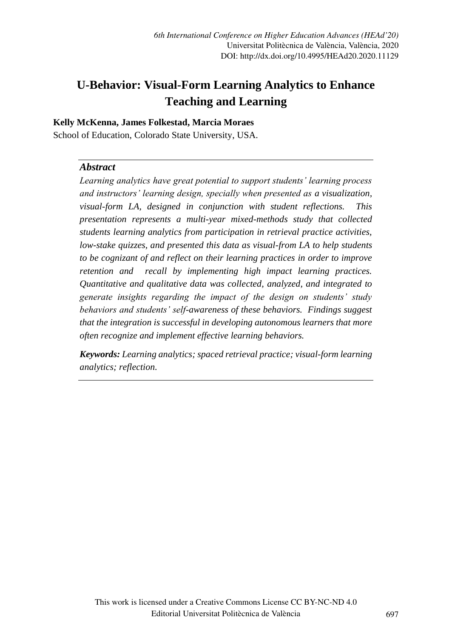# **U-Behavior: Visual-Form Learning Analytics to Enhance Teaching and Learning**

#### **Kelly McKenna, James Folkestad, Marcia Moraes**

School of Education, Colorado State University, USA.

#### *Abstract*

*Learning analytics have great potential to support students' learning process and instructors' learning design, specially when presented as a visualization, visual-form LA, designed in conjunction with student reflections. This presentation represents a multi-year mixed-methods study that collected students learning analytics from participation in retrieval practice activities, low-stake quizzes, and presented this data as visual-from LA to help students to be cognizant of and reflect on their learning practices in order to improve retention and recall by implementing high impact learning practices. Quantitative and qualitative data was collected, analyzed, and integrated to generate insights regarding the impact of the design on students' study behaviors and students' self-awareness of these behaviors. Findings suggest that the integration is successful in developing autonomous learners that more often recognize and implement effective learning behaviors.* 

*Keywords: Learning analytics; spaced retrieval practice; visual-form learning analytics; reflection.*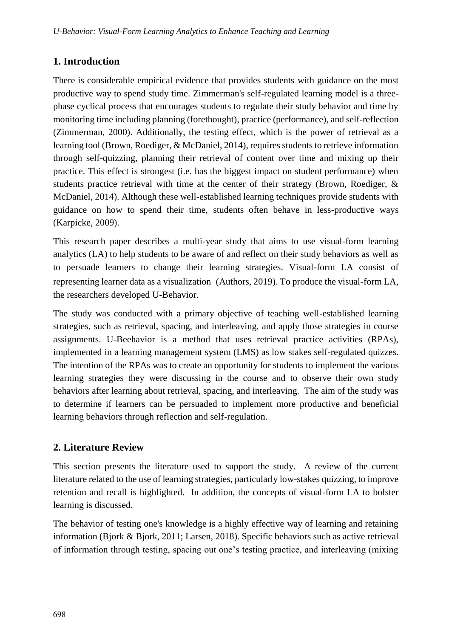## **1. Introduction**

There is considerable empirical evidence that provides students with guidance on the most productive way to spend study time. Zimmerman's self-regulated learning model is a threephase cyclical process that encourages students to regulate their study behavior and time by monitoring time including planning (forethought), practice (performance), and self-reflection (Zimmerman, 2000). Additionally, the testing effect, which is the power of retrieval as a learning tool (Brown, Roediger, & McDaniel, 2014), requires students to retrieve information through self-quizzing, planning their retrieval of content over time and mixing up their practice. This effect is strongest (i.e. has the biggest impact on student performance) when students practice retrieval with time at the center of their strategy (Brown, Roediger, & McDaniel, 2014). Although these well-established learning techniques provide students with guidance on how to spend their time, students often behave in less-productive ways (Karpicke, 2009).

This research paper describes a multi-year study that aims to use visual-form learning analytics (LA) to help students to be aware of and reflect on their study behaviors as well as to persuade learners to change their learning strategies. Visual-form LA consist of representing learner data as a visualization (Authors, 2019). To produce the visual-form LA, the researchers developed U-Behavior.

The study was conducted with a primary objective of teaching well-established learning strategies, such as retrieval, spacing, and interleaving, and apply those strategies in course assignments. U-Beehavior is a method that uses retrieval practice activities (RPAs), implemented in a learning management system (LMS) as low stakes self-regulated quizzes. The intention of the RPAs was to create an opportunity for students to implement the various learning strategies they were discussing in the course and to observe their own study behaviors after learning about retrieval, spacing, and interleaving. The aim of the study was to determine if learners can be persuaded to implement more productive and beneficial learning behaviors through reflection and self-regulation.

## **2. Literature Review**

This section presents the literature used to support the study. A review of the current literature related to the use of learning strategies, particularly low-stakes quizzing, to improve retention and recall is highlighted. In addition, the concepts of visual-form LA to bolster learning is discussed.

The behavior of testing one's knowledge is a highly effective way of learning and retaining information (Bjork & Bjork, 2011; Larsen, 2018). Specific behaviors such as active retrieval of information through testing, spacing out one's testing practice, and interleaving (mixing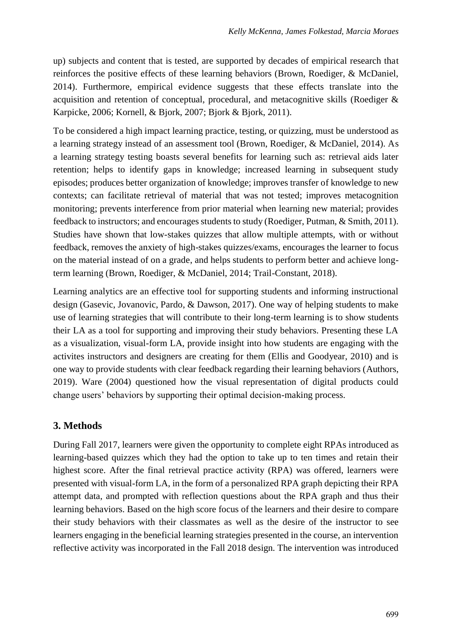up) subjects and content that is tested, are supported by decades of empirical research that reinforces the positive effects of these learning behaviors (Brown, Roediger, & McDaniel, 2014). Furthermore, empirical evidence suggests that these effects translate into the acquisition and retention of conceptual, procedural, and metacognitive skills (Roediger  $\&$ Karpicke, 2006; Kornell, & Bjork, 2007; Bjork & Bjork, 2011).

To be considered a high impact learning practice, testing, or quizzing, must be understood as a learning strategy instead of an assessment tool (Brown, Roediger, & McDaniel, 2014). As a learning strategy testing boasts several benefits for learning such as: retrieval aids later retention; helps to identify gaps in knowledge; increased learning in subsequent study episodes; produces better organization of knowledge; improves transfer of knowledge to new contexts; can facilitate retrieval of material that was not tested; improves metacognition monitoring; prevents interference from prior material when learning new material; provides feedback to instructors; and encourages students to study (Roediger, Putman, & Smith, 2011). Studies have shown that low-stakes quizzes that allow multiple attempts, with or without feedback, removes the anxiety of high-stakes quizzes/exams, encourages the learner to focus on the material instead of on a grade, and helps students to perform better and achieve longterm learning (Brown, Roediger, & McDaniel, 2014; Trail-Constant, 2018).

Learning analytics are an effective tool for supporting students and informing instructional design (Gasevic, Jovanovic, Pardo, & Dawson, 2017). One way of helping students to make use of learning strategies that will contribute to their long-term learning is to show students their LA as a tool for supporting and improving their study behaviors. Presenting these LA as a visualization, visual-form LA, provide insight into how students are engaging with the activites instructors and designers are creating for them (Ellis and Goodyear, 2010) and is one way to provide students with clear feedback regarding their learning behaviors (Authors, 2019). Ware (2004) questioned how the visual representation of digital products could change users' behaviors by supporting their optimal decision-making process.

### **3. Methods**

During Fall 2017, learners were given the opportunity to complete eight RPAs introduced as learning-based quizzes which they had the option to take up to ten times and retain their highest score. After the final retrieval practice activity (RPA) was offered, learners were presented with visual-form LA, in the form of a personalized RPA graph depicting their RPA attempt data, and prompted with reflection questions about the RPA graph and thus their learning behaviors. Based on the high score focus of the learners and their desire to compare their study behaviors with their classmates as well as the desire of the instructor to see learners engaging in the beneficial learning strategies presented in the course, an intervention reflective activity was incorporated in the Fall 2018 design. The intervention was introduced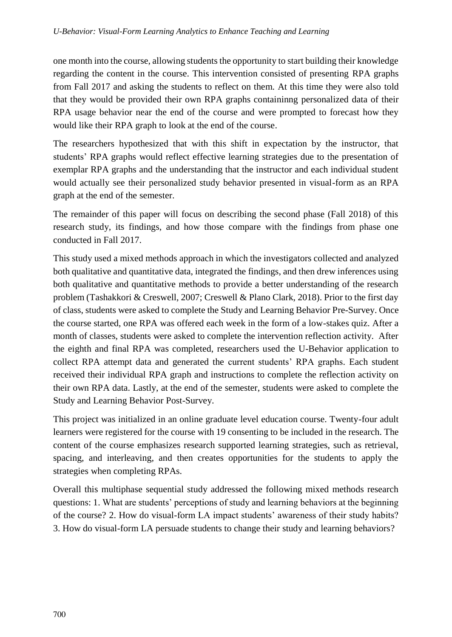one month into the course, allowing students the opportunity to start building their knowledge regarding the content in the course. This intervention consisted of presenting RPA graphs from Fall 2017 and asking the students to reflect on them. At this time they were also told that they would be provided their own RPA graphs containinng personalized data of their RPA usage behavior near the end of the course and were prompted to forecast how they would like their RPA graph to look at the end of the course.

The researchers hypothesized that with this shift in expectation by the instructor, that students' RPA graphs would reflect effective learning strategies due to the presentation of exemplar RPA graphs and the understanding that the instructor and each individual student would actually see their personalized study behavior presented in visual-form as an RPA graph at the end of the semester.

The remainder of this paper will focus on describing the second phase (Fall 2018) of this research study, its findings, and how those compare with the findings from phase one conducted in Fall 2017.

This study used a mixed methods approach in which the investigators collected and analyzed both qualitative and quantitative data, integrated the findings, and then drew inferences using both qualitative and quantitative methods to provide a better understanding of the research problem (Tashakkori & Creswell, 2007; Creswell & Plano Clark, 2018). Prior to the first day of class, students were asked to complete the Study and Learning Behavior Pre-Survey. Once the course started, one RPA was offered each week in the form of a low-stakes quiz. After a month of classes, students were asked to complete the intervention reflection activity. After the eighth and final RPA was completed, researchers used the U-Behavior application to collect RPA attempt data and generated the current students' RPA graphs. Each student received their individual RPA graph and instructions to complete the reflection activity on their own RPA data. Lastly, at the end of the semester, students were asked to complete the Study and Learning Behavior Post-Survey.

This project was initialized in an online graduate level education course. Twenty-four adult learners were registered for the course with 19 consenting to be included in the research. The content of the course emphasizes research supported learning strategies, such as retrieval, spacing, and interleaving, and then creates opportunities for the students to apply the strategies when completing RPAs.

Overall this multiphase sequential study addressed the following mixed methods research questions: 1. What are students' perceptions of study and learning behaviors at the beginning of the course? 2. How do visual-form LA impact students' awareness of their study habits? 3. How do visual-form LA persuade students to change their study and learning behaviors?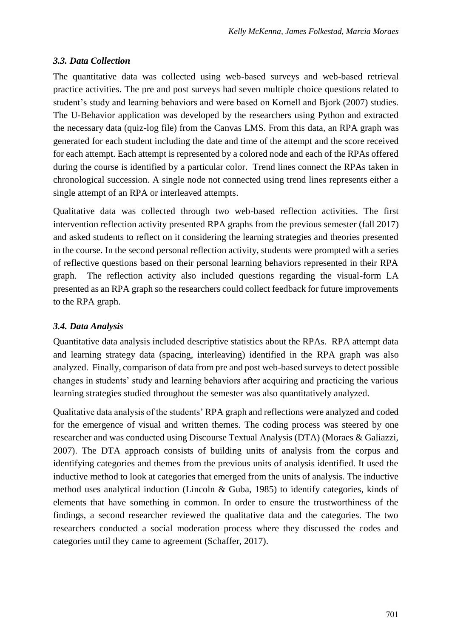#### *3.3. Data Collection*

The quantitative data was collected using web-based surveys and web-based retrieval practice activities. The pre and post surveys had seven multiple choice questions related to student's study and learning behaviors and were based on Kornell and Bjork (2007) studies. The U-Behavior application was developed by the researchers using Python and extracted the necessary data (quiz-log file) from the Canvas LMS. From this data, an RPA graph was generated for each student including the date and time of the attempt and the score received for each attempt. Each attempt is represented by a colored node and each of the RPAs offered during the course is identified by a particular color. Trend lines connect the RPAs taken in chronological succession. A single node not connected using trend lines represents either a single attempt of an RPA or interleaved attempts.

Qualitative data was collected through two web-based reflection activities. The first intervention reflection activity presented RPA graphs from the previous semester (fall 2017) and asked students to reflect on it considering the learning strategies and theories presented in the course. In the second personal reflection activity, students were prompted with a series of reflective questions based on their personal learning behaviors represented in their RPA graph. The reflection activity also included questions regarding the visual-form LA presented as an RPA graph so the researchers could collect feedback for future improvements to the RPA graph.

#### *3.4. Data Analysis*

Quantitative data analysis included descriptive statistics about the RPAs. RPA attempt data and learning strategy data (spacing, interleaving) identified in the RPA graph was also analyzed. Finally, comparison of data from pre and post web-based surveys to detect possible changes in students' study and learning behaviors after acquiring and practicing the various learning strategies studied throughout the semester was also quantitatively analyzed.

Qualitative data analysis of the students' RPA graph and reflections were analyzed and coded for the emergence of visual and written themes. The coding process was steered by one researcher and was conducted using Discourse Textual Analysis (DTA) (Moraes & Galiazzi, 2007). The DTA approach consists of building units of analysis from the corpus and identifying categories and themes from the previous units of analysis identified. It used the inductive method to look at categories that emerged from the units of analysis. The inductive method uses analytical induction (Lincoln & Guba, 1985) to identify categories, kinds of elements that have something in common. In order to ensure the trustworthiness of the findings, a second researcher reviewed the qualitative data and the categories. The two researchers conducted a social moderation process where they discussed the codes and categories until they came to agreement (Schaffer, 2017).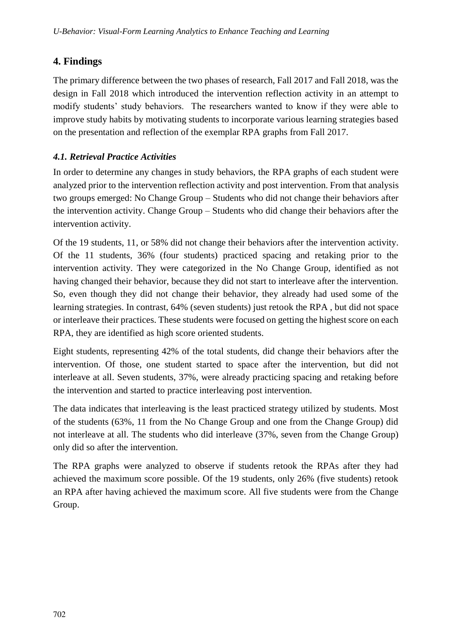# **4. Findings**

The primary difference between the two phases of research, Fall 2017 and Fall 2018, was the design in Fall 2018 which introduced the intervention reflection activity in an attempt to modify students' study behaviors. The researchers wanted to know if they were able to improve study habits by motivating students to incorporate various learning strategies based on the presentation and reflection of the exemplar RPA graphs from Fall 2017.

## *4.1. Retrieval Practice Activities*

In order to determine any changes in study behaviors, the RPA graphs of each student were analyzed prior to the intervention reflection activity and post intervention. From that analysis two groups emerged: No Change Group – Students who did not change their behaviors after the intervention activity. Change Group – Students who did change their behaviors after the intervention activity.

Of the 19 students, 11, or 58% did not change their behaviors after the intervention activity. Of the 11 students, 36% (four students) practiced spacing and retaking prior to the intervention activity. They were categorized in the No Change Group, identified as not having changed their behavior, because they did not start to interleave after the intervention. So, even though they did not change their behavior, they already had used some of the learning strategies. In contrast, 64% (seven students) just retook the RPA , but did not space or interleave their practices. These students were focused on getting the highest score on each RPA, they are identified as high score oriented students.

Eight students, representing 42% of the total students, did change their behaviors after the intervention. Of those, one student started to space after the intervention, but did not interleave at all. Seven students, 37%, were already practicing spacing and retaking before the intervention and started to practice interleaving post intervention.

The data indicates that interleaving is the least practiced strategy utilized by students. Most of the students (63%, 11 from the No Change Group and one from the Change Group) did not interleave at all. The students who did interleave (37%, seven from the Change Group) only did so after the intervention.

The RPA graphs were analyzed to observe if students retook the RPAs after they had achieved the maximum score possible. Of the 19 students, only 26% (five students) retook an RPA after having achieved the maximum score. All five students were from the Change Group.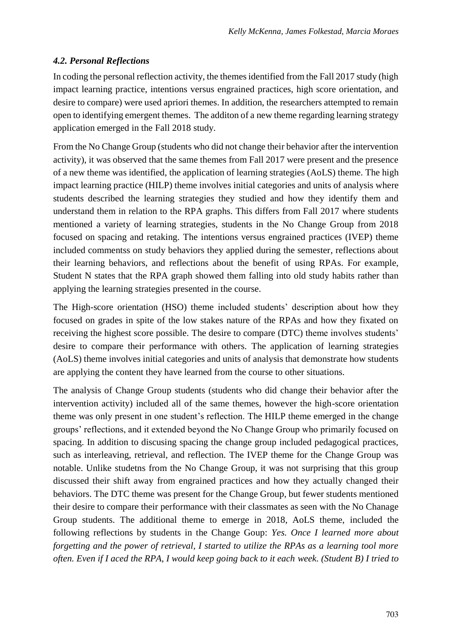## *4.2. Personal Reflections*

In coding the personal reflection activity, the themes identified from the Fall 2017 study (high impact learning practice, intentions versus engrained practices, high score orientation, and desire to compare) were used apriori themes. In addition, the researchers attempted to remain open to identifying emergent themes. The additon of a new theme regarding learning strategy application emerged in the Fall 2018 study.

From the No Change Group (students who did not change their behavior after the intervention activity), it was observed that the same themes from Fall 2017 were present and the presence of a new theme was identified, the application of learning strategies (AoLS) theme. The high impact learning practice (HILP) theme involves initial categories and units of analysis where students described the learning strategies they studied and how they identify them and understand them in relation to the RPA graphs. This differs from Fall 2017 where students mentioned a variety of learning strategies, students in the No Change Group from 2018 focused on spacing and retaking. The intentions versus engrained practices (IVEP) theme included commentss on study behaviors they applied during the semester, reflections about their learning behaviors, and reflections about the benefit of using RPAs. For example, Student N states that the RPA graph showed them falling into old study habits rather than applying the learning strategies presented in the course.

The High-score orientation (HSO) theme included students' description about how they focused on grades in spite of the low stakes nature of the RPAs and how they fixated on receiving the highest score possible. The desire to compare (DTC) theme involves students' desire to compare their performance with others. The application of learning strategies (AoLS) theme involves initial categories and units of analysis that demonstrate how students are applying the content they have learned from the course to other situations.

The analysis of Change Group students (students who did change their behavior after the intervention activity) included all of the same themes, however the high-score orientation theme was only present in one student's reflection. The HILP theme emerged in the change groups' reflections, and it extended beyond the No Change Group who primarily focused on spacing. In addition to discusing spacing the change group included pedagogical practices, such as interleaving, retrieval, and reflection. The IVEP theme for the Change Group was notable. Unlike studetns from the No Change Group, it was not surprising that this group discussed their shift away from engrained practices and how they actually changed their behaviors. The DTC theme was present for the Change Group, but fewer students mentioned their desire to compare their performance with their classmates as seen with the No Chanage Group students. The additional theme to emerge in 2018, AoLS theme, included the following reflections by students in the Change Goup: *Yes. Once I learned more about forgetting and the power of retrieval, I started to utilize the RPAs as a learning tool more often. Even if I aced the RPA, I would keep going back to it each week. (Student B) I tried to*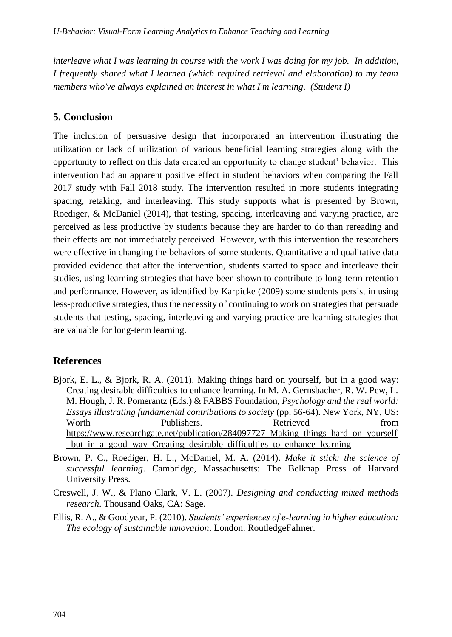*interleave what I was learning in course with the work I was doing for my job. In addition, I frequently shared what I learned (which required retrieval and elaboration) to my team members who've always explained an interest in what I'm learning. (Student I)*

# **5. Conclusion**

The inclusion of persuasive design that incorporated an intervention illustrating the utilization or lack of utilization of various beneficial learning strategies along with the opportunity to reflect on this data created an opportunity to change student' behavior. This intervention had an apparent positive effect in student behaviors when comparing the Fall 2017 study with Fall 2018 study. The intervention resulted in more students integrating spacing, retaking, and interleaving. This study supports what is presented by Brown, Roediger, & McDaniel (2014), that testing, spacing, interleaving and varying practice, are perceived as less productive by students because they are harder to do than rereading and their effects are not immediately perceived. However, with this intervention the researchers were effective in changing the behaviors of some students. Quantitative and qualitative data provided evidence that after the intervention, students started to space and interleave their studies, using learning strategies that have been shown to contribute to long-term retention and performance. However, as identified by Karpicke (2009) some students persist in using less-productive strategies, thus the necessity of continuing to work on strategies that persuade students that testing, spacing, interleaving and varying practice are learning strategies that are valuable for long-term learning.

## **References**

- Bjork, E. L., & Bjork, R. A. (2011). Making things hard on yourself, but in a good way: Creating desirable difficulties to enhance learning. In M. A. Gernsbacher, R. W. Pew, L. M. Hough, J. R. Pomerantz (Eds.) & FABBS Foundation, *Psychology and the real world: Essays illustrating fundamental contributions to society* (pp. 56-64). New York, NY, US: Worth Publishers. Retrieved from https://www.researchgate.net/publication/284097727 Making things hard on yourself \_but\_in\_a\_good\_way\_Creating\_desirable\_difficulties\_to\_enhance\_learning
- Brown, P. C., Roediger, H. L., McDaniel, M. A. (2014). *Make it stick: the science of successful learning*. Cambridge, Massachusetts: The Belknap Press of Harvard University Press.
- Creswell, J. W., & Plano Clark, V. L. (2007). *Designing and conducting mixed methods research*. Thousand Oaks, CA: Sage.
- Ellis, R. A., & Goodyear, P. (2010). *Students' experiences of e-learning in higher education: The ecology of sustainable innovation*. London: RoutledgeFalmer.